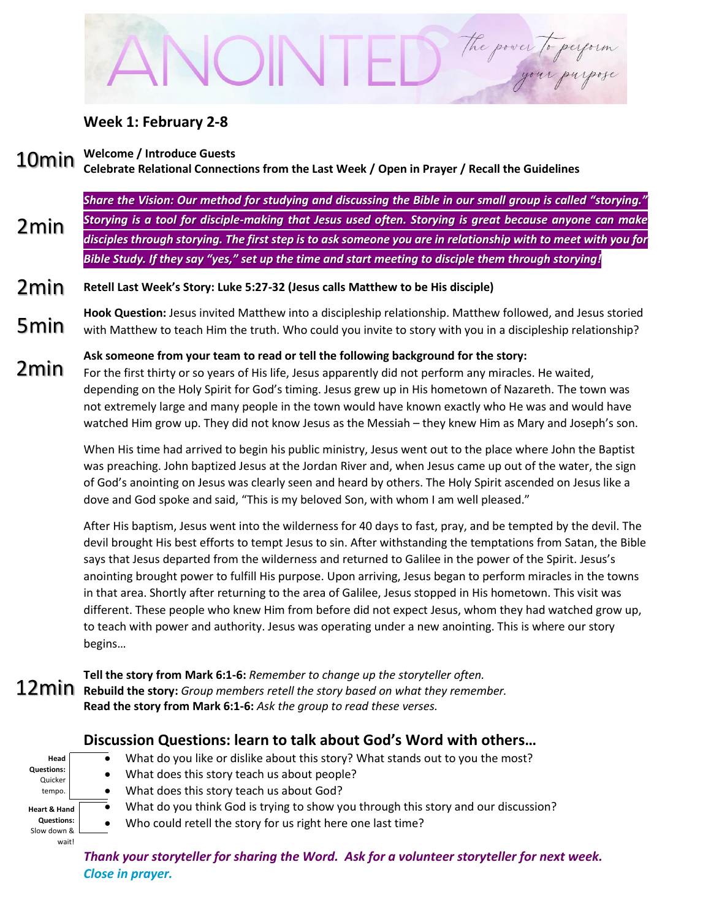# The power to perform

### **Week 1: February 2-8**

#### **Welcome / Introduce Guests** 10min

## **Celebrate Relational Connections from the Last Week / Open in Prayer / Recall the Guidelines**

*Share the Vision: Our method for studying and discussing the Bible in our small group is called "storying." Storying is a tool for disciple-making that Jesus used often. Storying is great because anyone can make disciples through storying. The first step is to ask someone you are in relationship with to meet with you for Bible Study. If they say "yes," set up the time and start meeting to disciple them through storying!* 2min

#### **Retell Last Week's Story: Luke 5:27-32 (Jesus calls Matthew to be His disciple)** 2min

**Hook Question:** Jesus invited Matthew into a discipleship relationship. Matthew followed, and Jesus storied with Matthew to teach Him the truth. Who could you invite to story with you in a discipleship relationship? 5min

## **Ask someone from your team to read or tell the following background for the story:**

For the first thirty or so years of His life, Jesus apparently did not perform any miracles. He waited, depending on the Holy Spirit for God's timing. Jesus grew up in His hometown of Nazareth. The town was not extremely large and many people in the town would have known exactly who He was and would have watched Him grow up. They did not know Jesus as the Messiah – they knew Him as Mary and Joseph's son. 2min

> When His time had arrived to begin his public ministry, Jesus went out to the place where John the Baptist was preaching. John baptized Jesus at the Jordan River and, when Jesus came up out of the water, the sign of God's anointing on Jesus was clearly seen and heard by others. The Holy Spirit ascended on Jesus like a dove and God spoke and said, "This is my beloved Son, with whom I am well pleased."

After His baptism, Jesus went into the wilderness for 40 days to fast, pray, and be tempted by the devil. The devil brought His best efforts to tempt Jesus to sin. After withstanding the temptations from Satan, the Bible says that Jesus departed from the wilderness and returned to Galilee in the power of the Spirit. Jesus's anointing brought power to fulfill His purpose. Upon arriving, Jesus began to perform miracles in the towns in that area. Shortly after returning to the area of Galilee, Jesus stopped in His hometown. This visit was different. These people who knew Him from before did not expect Jesus, whom they had watched grow up, to teach with power and authority. Jesus was operating under a new anointing. This is where our story begins…

**Tell the story from Mark 6:1-6:** *Remember to change up the storyteller often.* **Rebuild the story:** *Group members retell the story based on what they remember.* **Read the story from Mark 6:1-6:** *Ask the group to read these verses.*

## **Discussion Questions: learn to talk about God's Word with others…**

| Head                    |  |
|-------------------------|--|
| <b>Questions:</b>       |  |
| Quicker                 |  |
| tempo.                  |  |
|                         |  |
|                         |  |
| <b>Heart &amp; Hand</b> |  |
| <b>Questions:</b>       |  |
| Slow down &             |  |

- What do you like or dislike about this story? What stands out to you the most?
- What does this story teach us about people?
- What does this story teach us about God?
- What do you think God is trying to show you through this story and our discussion?
	- Who could retell the story for us right here one last time?

*Thank your storyteller for sharing the Word. Ask for a volunteer storyteller for next week. Close in prayer.*